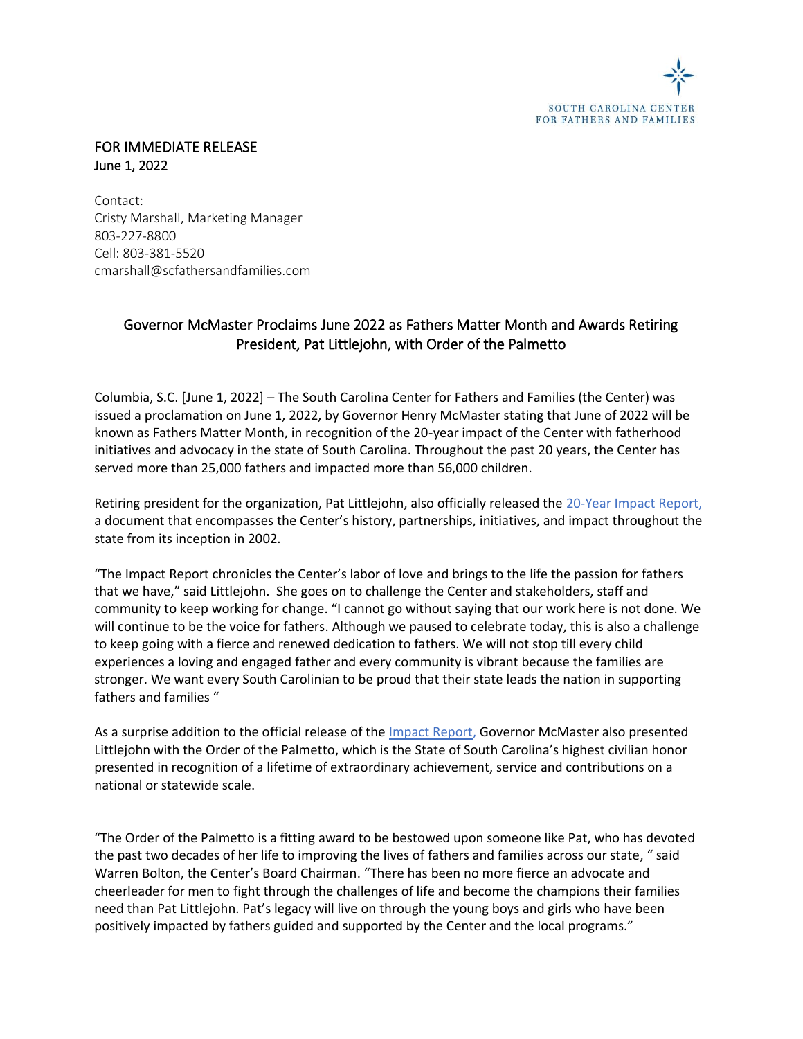

## FOR IMMEDIATE RELEASE June 1, 2022

Contact: Cristy Marshall, Marketing Manager 803-227-8800 Cell: 803-381-5520 cmarshall@scfathersandfamilies.com

## Governor McMaster Proclaims June 2022 as Fathers Matter Month and Awards Retiring President, Pat Littlejohn, with Order of the Palmetto

Columbia, S.C. [June 1, 2022] – The South Carolina Center for Fathers and Families (the Center) was issued a proclamation on June 1, 2022, by Governor Henry McMaster stating that June of 2022 will be known as Fathers Matter Month, in recognition of the 20-year impact of the Center with fatherhood initiatives and advocacy in the state of South Carolina. Throughout the past 20 years, the Center has served more than 25,000 fathers and impacted more than 56,000 children.

Retiring president for the organization, Pat Littlejohn, also officially released the [20-Year Impact Report,](https://issuu.com/scfathersandfamilies/docs/56350_sccff_brochure_r1.proof) a document that encompasses the Center's history, partnerships, initiatives, and impact throughout the state from its inception in 2002.

"The Impact Report chronicles the Center's labor of love and brings to the life the passion for fathers that we have," said Littlejohn. She goes on to challenge the Center and stakeholders, staff and community to keep working for change. "I cannot go without saying that our work here is not done. We will continue to be the voice for fathers. Although we paused to celebrate today, this is also a challenge to keep going with a fierce and renewed dedication to fathers. We will not stop till every child experiences a loving and engaged father and every community is vibrant because the families are stronger. We want every South Carolinian to be proud that their state leads the nation in supporting fathers and families "

As a surprise addition to the official release of the *Impact Report*, Governor McMaster also presented Littlejohn with the Order of the Palmetto, which is the State of South Carolina's highest civilian honor presented in recognition of a lifetime of extraordinary achievement, service and contributions on a national or statewide scale.

"The Order of the Palmetto is a fitting award to be bestowed upon someone like Pat, who has devoted the past two decades of her life to improving the lives of fathers and families across our state, " said Warren Bolton, the Center's Board Chairman. "There has been no more fierce an advocate and cheerleader for men to fight through the challenges of life and become the champions their families need than Pat Littlejohn. Pat's legacy will live on through the young boys and girls who have been positively impacted by fathers guided and supported by the Center and the local programs."